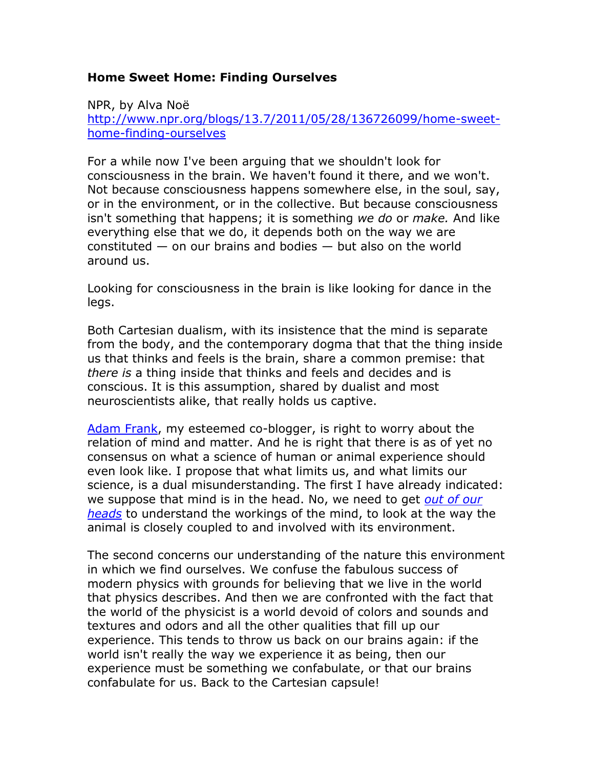## **Home Sweet Home: Finding Ourselves**

NPR, by Alva Noë [http://www.npr.org/blogs/13.7/2011/05/28/136726099/home-sweet](http://www.npr.org/blogs/13.7/2011/05/28/136726099/home-sweet-home-finding-ourselves)[home-finding-ourselves](http://www.npr.org/blogs/13.7/2011/05/28/136726099/home-sweet-home-finding-ourselves)

For a while now I've been arguing that we shouldn't look for consciousness in the brain. We haven't found it there, and we won't. Not because consciousness happens somewhere else, in the soul, say, or in the environment, or in the collective. But because consciousness isn't something that happens; it is something *we do* or *make.* And like everything else that we do, it depends both on the way we are constituted  $-$  on our brains and bodies  $-$  but also on the world around us.

Looking for consciousness in the brain is like looking for dance in the legs.

Both Cartesian dualism, with its insistence that the mind is separate from the body, and the contemporary dogma that that the thing inside us that thinks and feels is the brain, share a common premise: that *there is* a thing inside that thinks and feels and decides and is conscious. It is this assumption, shared by dualist and most neuroscientists alike, that really holds us captive.

[Adam Frank,](http://www.npr.org/blogs/13.7/2011/05/24/136607035/you-and-your-brain-on-agnosticism-and-consciousness) my esteemed co-blogger, is right to worry about the relation of mind and matter. And he is right that there is as of yet no consensus on what a science of human or animal experience should even look like. I propose that what limits us, and what limits our science, is a dual misunderstanding. The first I have already indicated: we suppose that mind is in the head. No, we need to get *[out of our](http://www.amazon.com/Out-Our-Heads-Lessons-Consciousness/dp/0809016486/ref=pd_rhf_p_img_2)  [heads](http://www.amazon.com/Out-Our-Heads-Lessons-Consciousness/dp/0809016486/ref=pd_rhf_p_img_2)* to understand the workings of the mind, to look at the way the animal is closely coupled to and involved with its environment.

The second concerns our understanding of the nature this environment in which we find ourselves. We confuse the fabulous success of modern physics with grounds for believing that we live in the world that physics describes. And then we are confronted with the fact that the world of the physicist is a world devoid of colors and sounds and textures and odors and all the other qualities that fill up our experience. This tends to throw us back on our brains again: if the world isn't really the way we experience it as being, then our experience must be something we confabulate, or that our brains confabulate for us. Back to the Cartesian capsule!